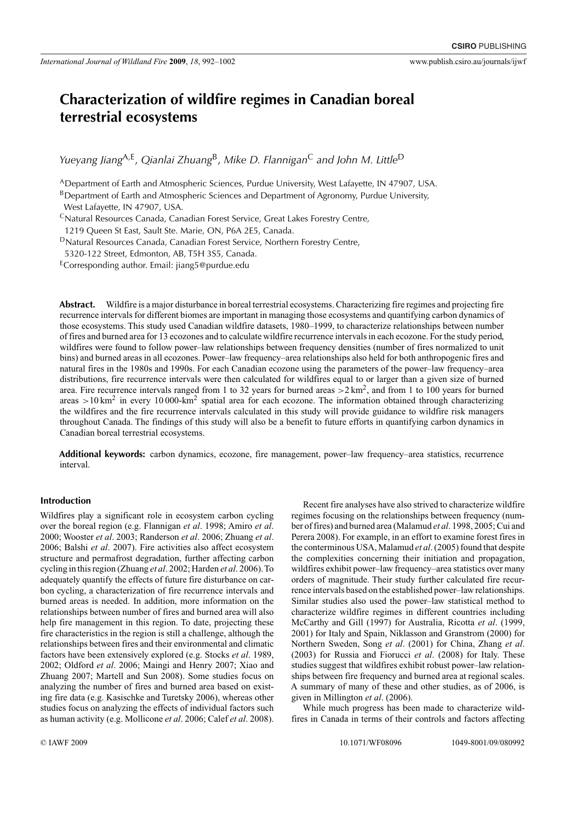# **Characterization of wildfire regimes in Canadian boreal terrestrial ecosystems**

*Yueyang Jiang*A,E, *Qianlai Zhuang*B, *Mike D. Flannigan*<sup>C</sup> *and John M. Little*<sup>D</sup>

ADepartment of Earth and Atmospheric Sciences, Purdue University, West Lafayette, IN 47907, USA.

BDepartment of Earth and Atmospheric Sciences and Department of Agronomy, Purdue University,

West Lafayette, IN 47907, USA.

CNatural Resources Canada, Canadian Forest Service, Great Lakes Forestry Centre,

1219 Queen St East, Sault Ste. Marie, ON, P6A 2E5, Canada.

DNatural Resources Canada, Canadian Forest Service, Northern Forestry Centre,

5320-122 Street, Edmonton, AB, T5H 3S5, Canada.

ECorresponding author. Email: [jiang5@purdue.edu](mailto:jiang5@purdue.edu)

**Abstract.** Wildfire is a major disturbance in boreal terrestrial ecosystems. Characterizing fire regimes and projecting fire recurrence intervals for different biomes are important in managing those ecosystems and quantifying carbon dynamics of those ecosystems. This study used Canadian wildfire datasets, 1980–1999, to characterize relationships between number of fires and burned area for 13 ecozones and to calculate wildfire recurrence intervals in each ecozone. For the study period, wildfires were found to follow power–law relationships between frequency densities (number of fires normalized to unit bins) and burned areas in all ecozones. Power–law frequency–area relationships also held for both anthropogenic fires and natural fires in the 1980s and 1990s. For each Canadian ecozone using the parameters of the power–law frequency–area distributions, fire recurrence intervals were then calculated for wildfires equal to or larger than a given size of burned area. Fire recurrence intervals ranged from 1 to 32 years for burned areas *>*2 km2, and from 1 to 100 years for burned areas >10 km<sup>2</sup> in every 10 000-km<sup>2</sup> spatial area for each ecozone. The information obtained through characterizing the wildfires and the fire recurrence intervals calculated in this study will provide guidance to wildfire risk managers throughout Canada. The findings of this study will also be a benefit to future efforts in quantifying carbon dynamics in Canadian boreal terrestrial ecosystems.

**Additional keywords:** carbon dynamics, ecozone, fire management, power–law frequency–area statistics, recurrence interval.

## **Introduction**

Wildfires play a significant role in ecosystem carbon cycling over the boreal region (e.g. Flannigan *et al*. 1998; Amiro *et al*. 2000; Wooster *et al*. 2003; Randerson *et al*. 2006; Zhuang *et al*. 2006; Balshi *et al*. 2007). Fire activities also affect ecosystem structure and permafrost degradation, further affecting carbon cycling in this region (Zhuang *et al*. 2002; Harden *et al*. 2006).To adequately quantify the effects of future fire disturbance on carbon cycling, a characterization of fire recurrence intervals and burned areas is needed. In addition, more information on the relationships between number of fires and burned area will also help fire management in this region. To date, projecting these fire characteristics in the region is still a challenge, although the relationships between fires and their environmental and climatic factors have been extensively explored (e.g. Stocks *et al*. 1989, 2002; Oldford *et al*. 2006; Maingi and Henry 2007; Xiao and Zhuang 2007; Martell and Sun 2008). Some studies focus on analyzing the number of fires and burned area based on existing fire data (e.g. Kasischke and Turetsky 2006), whereas other studies focus on analyzing the effects of individual factors such as human activity (e.g. Mollicone *et al*. 2006; Calef *et al*. 2008). regimes focusing on the relationships between frequency (number of fires) and burned area (Malamud *et al*. 1998, 2005; Cui and Perera 2008). For example, in an effort to examine forest fires in the conterminous USA, Malamud *et al*. (2005) found that despite the complexities concerning their initiation and propagation, wildfires exhibit power–law frequency–area statistics over many orders of magnitude. Their study further calculated fire recurrence intervals based on the established power–law relationships. Similar studies also used the power–law statistical method to characterize wildfire regimes in different countries including McCarthy and Gill (1997) for Australia, Ricotta *et al*. (1999, 2001) for Italy and Spain, Niklasson and Granstrom (2000) for Northern Sweden, Song *et al*. (2001) for China, Zhang *et al*. (2003) for Russia and Fiorucci *et al*. (2008) for Italy. These studies suggest that wildfires exhibit robust power–law relationships between fire frequency and burned area at regional scales. A summary of many of these and other studies, as of 2006, is given in Millington *et al*. (2006).

Recent fire analyses have also strived to characterize wildfire

While much progress has been made to characterize wildfires in Canada in terms of their controls and factors affecting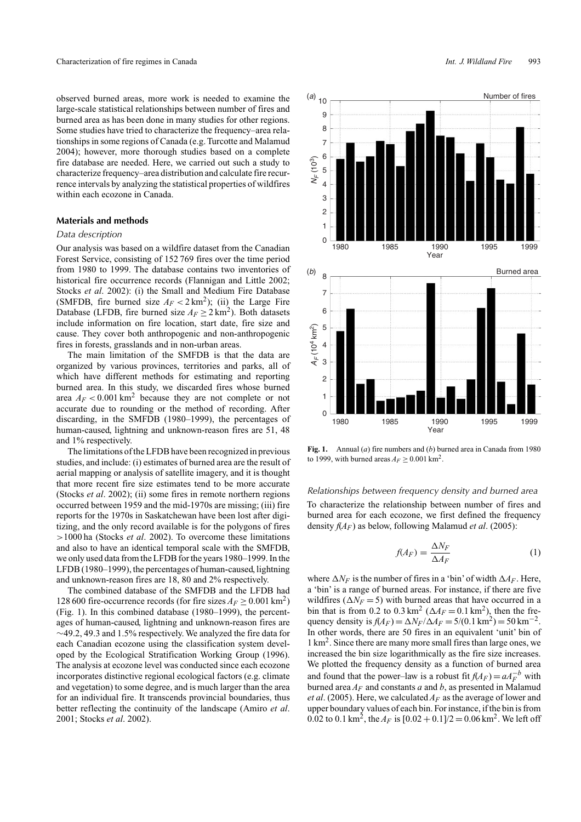observed burned areas, more work is needed to examine the large-scale statistical relationships between number of fires and burned area as has been done in many studies for other regions. Some studies have tried to characterize the frequency–area relationships in some regions of Canada (e.g. Turcotte and Malamud 2004); however, more thorough studies based on a complete fire database are needed. Here, we carried out such a study to characterize frequency–area distribution and calculate fire recurrence intervals by analyzing the statistical properties of wildfires within each ecozone in Canada.

## **Materials and methods**

## *Data description*

Our analysis was based on a wildfire dataset from the Canadian Forest Service, consisting of 152 769 fires over the time period from 1980 to 1999. The database contains two inventories of historical fire occurrence records (Flannigan and Little 2002; Stocks *et al*. 2002): (i) the Small and Medium Fire Database (SMFDB, fire burned size  $A_F < 2 \text{ km}^2$ ); (ii) the Large Fire Database (LFDB, fire burned size  $A_F \geq 2 \text{ km}^2$ ). Both datasets include information on fire location, start date, fire size and cause. They cover both anthropogenic and non-anthropogenic fires in forests, grasslands and in non-urban areas.

The main limitation of the SMFDB is that the data are organized by various provinces, territories and parks, all of which have different methods for estimating and reporting burned area. In this study, we discarded fires whose burned area  $A_F < 0.001 \text{ km}^2$  because they are not complete or not accurate due to rounding or the method of recording. After discarding, in the SMFDB (1980–1999), the percentages of human-caused, lightning and unknown-reason fires are 51, 48 and 1% respectively.

The limitations of the LFDB have been recognized in previous studies, and include: (i) estimates of burned area are the result of aerial mapping or analysis of satellite imagery, and it is thought that more recent fire size estimates tend to be more accurate (Stocks *et al*. 2002); (ii) some fires in remote northern regions occurred between 1959 and the mid-1970s are missing; (iii) fire reports for the 1970s in Saskatchewan have been lost after digitizing, and the only record available is for the polygons of fires *>*1000 ha (Stocks *et al*. 2002). To overcome these limitations and also to have an identical temporal scale with the SMFDB, we only used data from the LFDB for the years 1980–1999. In the LFDB (1980–1999), the percentages of human-caused, lightning and unknown-reason fires are 18, 80 and 2% respectively.

The combined database of the SMFDB and the LFDB had 128 600 fire-occurrence records (for fire sizes  $A_F \ge 0.001 \text{ km}^2$ ) (Fig. 1). In this combined database (1980–1999), the percentages of human-caused, lightning and unknown-reason fires are ∼49.2, 49.3 and 1.5% respectively. We analyzed the fire data for each Canadian ecozone using the classification system developed by the Ecological Stratification Working Group (1996). The analysis at ecozone level was conducted since each ecozone incorporates distinctive regional ecological factors (e.g. climate and vegetation) to some degree, and is much larger than the area for an individual fire. It transcends provincial boundaries, thus better reflecting the continuity of the landscape (Amiro *et al*. 2001; Stocks *et al*. 2002).



**Fig. 1.** Annual (*a*) fire numbers and (*b*) burned area in Canada from 1980 to 1999, with burned areas  $A_F \ge 0.001 \text{ km}^2$ .

*Relationships between frequency density and burned area* To characterize the relationship between number of fires and burned area for each ecozone, we first defined the frequency density *f*(*AF* ) as below, following Malamud *et al*. (2005):

$$
f(A_F) = \frac{\Delta N_F}{\Delta A_F} \tag{1}
$$

where  $\Delta N_F$  is the number of fires in a 'bin' of width  $\Delta A_F$ . Here, a 'bin' is a range of burned areas. For instance, if there are five wildfires  $(\Delta N_F = 5)$  with burned areas that have occurred in a bin that is from 0.2 to 0.3 km<sup>2</sup> ( $\Delta A_F = 0.1$  km<sup>2</sup>), then the frequency density is  $f(A_F) = \Delta N_F / \Delta A_F = 5/(0.1 \text{ km}^2) = 50 \text{ km}^{-2}$ . In other words, there are 50 fires in an equivalent 'unit' bin of 1 km2. Since there are many more small fires than large ones, we increased the bin size logarithmically as the fire size increases. We plotted the frequency density as a function of burned area and found that the power–law is a robust fit  $f(A_F) = aA_F^{-b}$  with burned area *AF* and constants *a* and *b*, as presented in Malamud *et al*. (2005). Here, we calculated*AF* as the average of lower and upper boundary values of each bin. For instance, if the bin is from 0.02 to 0.1 km<sup>2</sup>, the  $A_F$  is  $[0.02 + 0.1]/2 = 0.06$  km<sup>2</sup>. We left off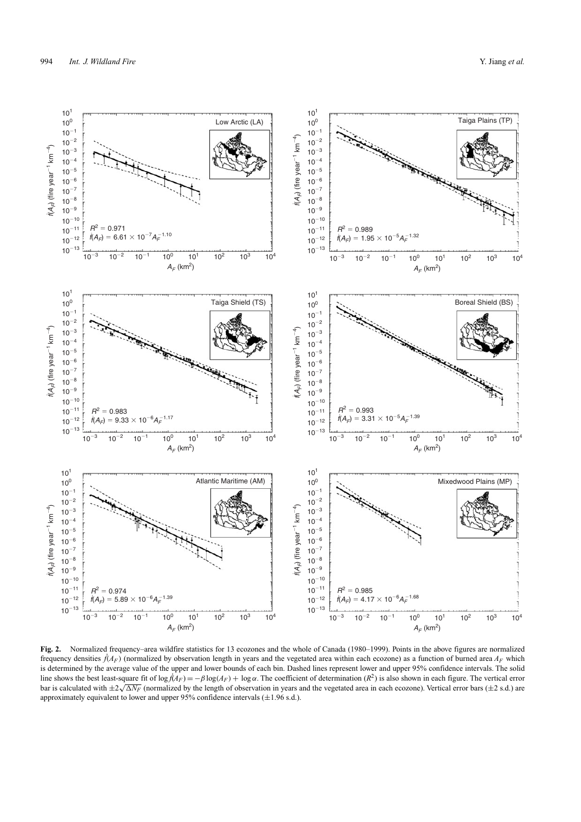

**Fig. 2.** Normalized frequency–area wildfire statistics for 13 ecozones and the whole of Canada (1980–1999). Points in the above figures are normalized frequency densities  $\hat{f}(A_F)$  (normalized by observation length in years and the vegetated area within each ecozone) as a function of burned area  $A_F$  which is determined by the average value of the upper and lower bounds of each bin. Dashed lines represent lower and upper 95% confidence intervals. The solid line shows the best least-square fit of  $\log \hat{f}(A_F) = -\beta \log(A_F) + \log \alpha$ . The coefficient of determination  $(R^2)$  is also shown in each figure. The vertical error bar is calculated with  $\pm 2\sqrt{\Delta N_F}$  (normalized by the length of observation in years and the vegetated area in each ecozone). Vertical error bars ( $\pm 2$  s.d.) are bars is calculated with  $\pm 2\sqrt{\Delta N_F}$  (normalized by th approximately equivalent to lower and upper 95% confidence intervals  $(\pm 1.96 \text{ s.d.})$ .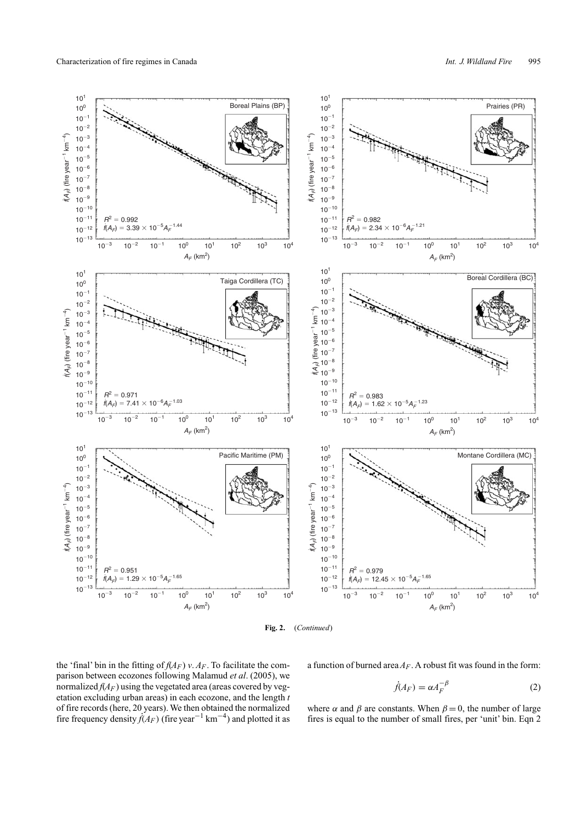

**Fig. 2.** (*Continued*)

the 'final' bin in the fitting of  $f(A_F)$   $v \cdot A_F$ . To facilitate the comparison between ecozones following Malamud *et al*. (2005), we normalized  $f(A_F)$  using the vegetated area (areas covered by vegetation excluding urban areas) in each ecozone, and the length *t* of fire records (here, 20 years). We then obtained the normalized fire frequency density  $\hat{f}(A_F)$  (fire year<sup>-1</sup> km<sup>-4</sup>) and plotted it as a function of burned area  $A_F$ . A robust fit was found in the form:

$$
\dot{f}(A_F) = \alpha A_F^{-\beta} \tag{2}
$$

where  $\alpha$  and  $\beta$  are constants. When  $\beta = 0$ , the number of large fires is equal to the number of small fires, per 'unit' bin. Eqn 2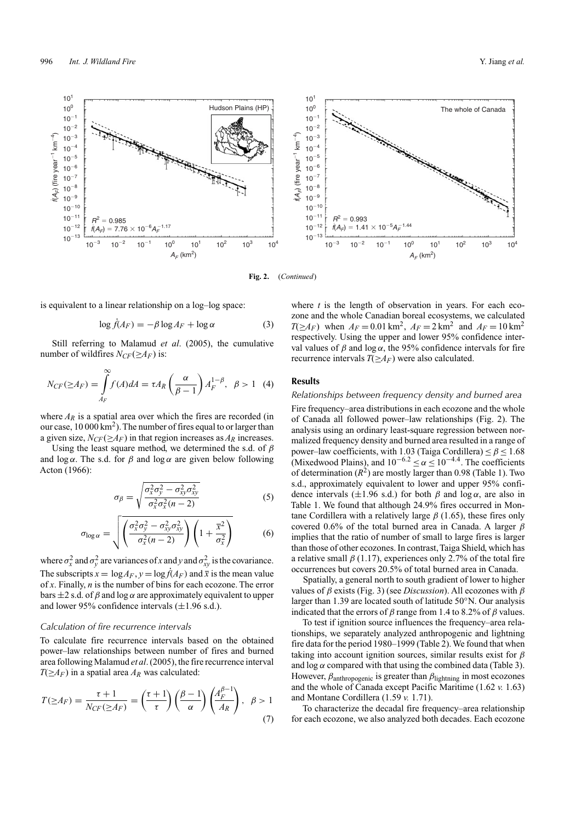**Fig. 2.** (*Continued*)



$$
\log \dot{f}(A_F) = -\beta \log A_F + \log \alpha \tag{3}
$$

Still referring to Malamud *et al*. (2005), the cumulative number of wildfires  $N_{CF}(\geq A_F)$  is:

$$
N_{CF}(\geq A_F) = \int_{A_F}^{\infty} f(A) dA = \tau A_R \left(\frac{\alpha}{\beta - 1}\right) A_F^{1 - \beta}, \ \ \beta > 1 \ \ (4)
$$

where  $A_R$  is a spatial area over which the fires are recorded (in our case,  $10\,000\,\mathrm{km}^2$ ). The number of fires equal to or larger than a given size,  $N_{CF}(\geq A_F)$  in that region increases as  $A_R$  increases.

Using the least square method, we determined the s.d. of *β* and  $\log \alpha$ . The s.d. for  $\beta$  and  $\log \alpha$  are given below following Acton (1966):

$$
\sigma_{\beta} = \sqrt{\frac{\sigma_x^2 \sigma_y^2 - \sigma_{xy}^2 \sigma_{xy}^2}{\sigma_x^2 \sigma_x^2 (n-2)}}
$$
(5)

$$
\sigma_{\log \alpha} = \sqrt{\left(\frac{\sigma_x^2 \sigma_y^2 - \sigma_{xy}^2 \sigma_{xy}^2}{\sigma_x^2 (n-2)}\right) \left(1 + \frac{\overline{x}^2}{\sigma_x^2}\right)}
$$
(6)

where  $\sigma_x^2$  and  $\sigma_y^2$  are variances of *x* and *y* and  $\sigma_{xy}^2$  is the covariance. The subscripts  $x = \log A_F$ ,  $y = \log f(A_F)$  and  $\bar{x}$  is the mean value of *x*. Finally, *n* is the number of bins for each ecozone. The error bars ±2 s.d. of *β* and log *α* are approximately equivalent to upper and lower 95% confidence intervals  $(\pm 1.96 \text{ s.d.})$ .

## *Calculation of fire recurrence intervals*

To calculate fire recurrence intervals based on the obtained power–law relationships between number of fires and burned area following Malamud *et al*. (2005), the fire recurrence interval  $T(\geq A_F)$  in a spatial area  $A_R$  was calculated:

$$
T(\geq A_F) = \frac{\tau + 1}{N_{CF}(\geq A_F)} = \left(\frac{\tau + 1}{\tau}\right) \left(\frac{\beta - 1}{\alpha}\right) \left(\frac{A_F^{\beta - 1}}{A_R}\right), \ \ \beta > 1\tag{7}
$$

where *t* is the length of observation in years. For each ecozone and the whole Canadian boreal ecosystems, we calculated *T*( $\geq$ *AF*) when *AF* = 0.01 km<sup>2</sup>, *AF* = 2 km<sup>2</sup> and *AF* = 10 km<sup>2</sup> respectively. Using the upper and lower 95% confidence interval values of *β* and  $log α$ , the 95% confidence intervals for fire recurrence intervals  $T(\geq A_F)$  were also calculated.

# **Results**

# *Relationships between frequency density and burned area*

Fire frequency–area distributions in each ecozone and the whole of Canada all followed power–law relationships (Fig. 2). The analysis using an ordinary least-square regression between normalized frequency density and burned area resulted in a range of power–law coefficients, with 1.03 (Taiga Cordillera)  $\leq \beta \leq 1.68$ (Mixedwood Plains), and  $10^{-6.2} \le \alpha \le 10^{-4.4}$ . The coefficients of determination  $(R^2)$  are mostly larger than 0.98 (Table 1). Two s.d., approximately equivalent to lower and upper 95% confidence intervals ( $\pm 1.96$  s.d.) for both  $\beta$  and  $\log \alpha$ , are also in Table 1. We found that although 24.9% fires occurred in Montane Cordillera with a relatively large *β* (1.65), these fires only covered 0.6% of the total burned area in Canada. A larger *β* implies that the ratio of number of small to large fires is larger than those of other ecozones. In contrast,Taiga Shield, which has a relative small  $β$  (1.17), experiences only 2.7% of the total fire occurrences but covers 20.5% of total burned area in Canada.

Spatially, a general north to south gradient of lower to higher values of *β* exists (Fig. 3) (see *Discussion*). All ecozones with *β* larger than 1.39 are located south of latitude 50◦N. Our analysis indicated that the errors of  $\beta$  range from 1.4 to 8.2% of  $\beta$  values.

To test if ignition source influences the frequency–area relationships, we separately analyzed anthropogenic and lightning fire data for the period 1980–1999 (Table 2). We found that when taking into account ignition sources, similar results exist for *β* and  $log \alpha$  compared with that using the combined data (Table 3). However, *β*anthropogenic is greater than *β*lightning in most ecozones and the whole of Canada except Pacific Maritime (1.62 *v.* 1.63) and Montane Cordillera (1.59 *v.* 1.71).

To characterize the decadal fire frequency–area relationship for each ecozone, we also analyzed both decades. Each ecozone

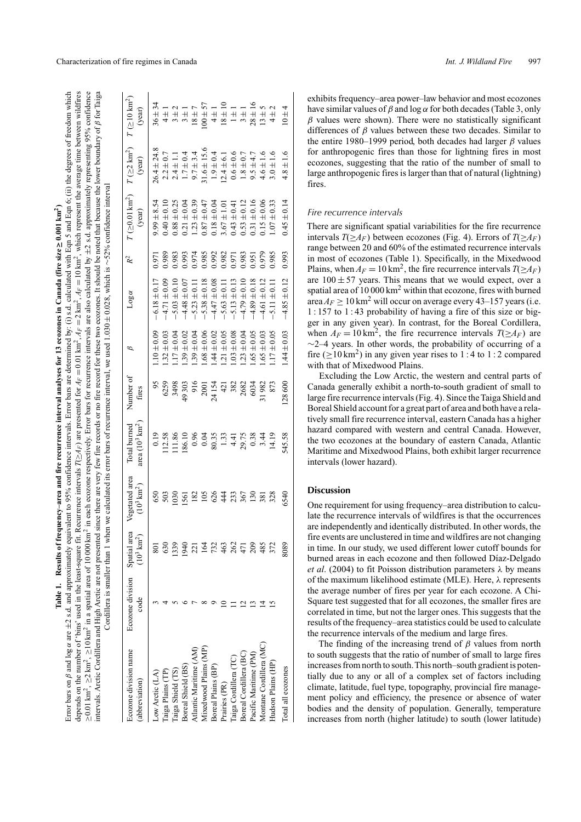| i              |  |
|----------------|--|
|                |  |
|                |  |
|                |  |
|                |  |
| $\overline{a}$ |  |
|                |  |
|                |  |
|                |  |
|                |  |
|                |  |
|                |  |
|                |  |
|                |  |
|                |  |
|                |  |
|                |  |
|                |  |
|                |  |
|                |  |
|                |  |
|                |  |
|                |  |
|                |  |
|                |  |
|                |  |
|                |  |
|                |  |
|                |  |
|                |  |
|                |  |
|                |  |
|                |  |
|                |  |
|                |  |
|                |  |
|                |  |
|                |  |
|                |  |
| j              |  |
|                |  |
|                |  |
|                |  |
|                |  |

 $\geq$ 0.01 km<sup>2</sup>,  $\geq$ 2 km<sup>2</sup> in a spatial area of 10000 km<sup>2</sup> in each ecozone respectively. Error bars for recurrence intervals are also calculated by  $\pm$ 2 s.d. approximately representing 95% confidence intervals. Arcti Firor bars on  $\beta$  and log  $\alpha$  are  $\pm 2$  s.d. and approximately equivalent to 95% confidence intervals. Error bars are determined by: (i) s.d. calculated with Eqn 5 and Eqn 6; (ii) the degrees of freedom which  $\pm 2$  s.d. and approximately equivalent to 95% confidence intervals. Error bars are determined by: (i) s.d. calculated with Eqn 6 and Eqn 6; (ii) the degrees of freedom which depends on the number of 'bins' used in the least-square fit. Recurrence intervals  $T(24F)$  are presented for  $A_F = 0.01$  km<sup>2</sup>,  $A_F = 2$  km<sup>2</sup>,  $A_F = 10$  km<sup>2</sup>, which represent the average time between wildfires intervals. Arctic Cordillera and High Arctic are not presented since there are very few fire records or no fire record for these two ecozones. It should be noted that because the lower boundary of *β* for Taiga  $A_F = 0.01 \text{ km}^2$ ,  $A_F = 2 \text{ km}^2$ ,  $A_F = 10 \text{ km}^2$ , which represent the average time between wildfires ±2 s.d. approximately representing 95% confidence Cordillera is smaller than 1 when we calculated its error bars of recurrence interval, we used 1.030  $\pm$  0.028, which is  $\sim$ 52% confidence interval ∼52% confidence interval ≥0.01 km2, ≥2 km2, ≥10 km2 in a spatial area of 10 000 km2 in each ecozone respectively. Error bars for recurrence intervals are also calculated by  $\pm 0.028$ , which is Cordillera is smaller than 1 when we calculated its error bars of recurrence interval, we used 1.030 *T*(≥*A<sub>F</sub>*) are presented for depends on the number of 'bins' used in the least-square fit. Recurrence intervals Error bars on *β* and log *α* are

| Ecozone division name<br>(abbreviation) | Ecozone division Spatial area<br>$\cot$ | $(10^{3}$ km <sup>2</sup> ) | Vegetated area<br>$(10^{3}$ km <sup>2</sup> ) | area $(10^3 \text{ km}^2)$<br>Total burned | Number of<br>fires | ∝               | $Log \alpha$     | 54    | $r \geq 0.01$ km <sup>2</sup> )<br>(year) | $T (\geq 2 \text{ km}^2)$<br>(year) | $T\ (\geq\!10\;{\rm km}^2)$<br>(year) |
|-----------------------------------------|-----------------------------------------|-----------------------------|-----------------------------------------------|--------------------------------------------|--------------------|-----------------|------------------|-------|-------------------------------------------|-------------------------------------|---------------------------------------|
| Low Arctic $(LA)$                       |                                         |                             | 650                                           | 0.19                                       | 95                 | $.10 \pm 0.09$  | $-6.18 \pm 0.17$ | 0.971 | $9.99 \pm 8.54$                           | $26.4 \pm 24.8$                     | $36 \pm 34$                           |
| Taiga Plains (TP)                       |                                         |                             | 503                                           | 12.58                                      | 6259               | $.32 \pm 0.03$  | $-4.71 \pm 0.09$ | 0.989 | $0.40 \pm 0.10$                           | $2.2 \pm 0.7$                       | $4 \pm 1$                             |
| Taiga Shield (TS)                       |                                         | 339                         | $^{030}$                                      | 11.86                                      | 3498               | $.17 \pm 0.04$  | $-5.03 \pm 0.10$ | 0.983 | $0.88 \pm 0.25$                           | $2.4 \pm 1.1$                       | $3\pm2$                               |
| Boreal Shield (BS)                      |                                         | 940                         | 1561                                          | .86.10                                     | 49303              | $.39 \pm 0.02$  | $-4.48 \pm 0.07$ | 993   | $0.21 \pm 0.04$                           | $1.7 \pm 0.4$                       | $3 \pm 1$                             |
| Atlantic Maritime (AM)                  |                                         |                             | 182                                           | 0.96                                       | $\frac{6}{16}$     | $.39 \pm 0.04$  | $-5.23 \pm 0.1$  | 0.974 | $1.23 \pm 0.39$                           | $9.7 \pm 3.4$                       | $18 \pm 7$                            |
| Mixedwood Plains (MP)                   |                                         |                             |                                               | 0.04                                       | 2001               | $.68 \pm 0.06$  | $-5.38 \pm 0.18$ | 0.985 | $0.87 \pm 0.47$                           | $1.6 \pm 15.6$                      | $00 \pm 57$                           |
| Boreal Plains (BP)                      |                                         | 732                         | 626                                           |                                            | 24154              | $1.44 \pm 0.02$ | $-4.47 \pm 0.08$ | 0.992 | $0.18 \pm 0.04$                           | $1.9 \pm 0.4$                       | $4 \pm 1$                             |
| Prairies (PR)                           |                                         | $\frac{463}{5}$             | 4<br>4                                        |                                            |                    | $.21 \pm 0.05$  | $-5.63 \pm 0.11$ | 0.982 | $3.67 \pm 1.01$                           | $12.4 \pm 6.1$                      | $18 \pm 10$                           |
| Taiga Cordillera (TC)                   |                                         | 262                         | 233                                           | 80.35<br>1.31<br>4.75<br>29.34<br>0.34     | $\frac{421}{382}$  | $.03 \pm 0.08$  | $-5.13 \pm 0.13$ | 0.97  | $0.43 \pm 0.41$                           | $0.6 \pm 0.6$                       | $1 \pm 1$                             |
| Boreal Cordillera (BC)                  |                                         | 5                           | 367                                           |                                            | 2682               | $.23 \pm 0.04$  | $-4.79 \pm 0.10$ | 0.983 | $0.53 \pm 0.12$                           | $1.8 \pm 0.7$                       | $3 \pm 1$                             |
| Pacific Maritime (PM)                   |                                         | 209                         | 130                                           |                                            | 6034               | $.65 \pm 0.05$  | $-4.89 \pm 0.18$ | 0.951 | $0.31 \pm 0.16$                           | $9.5 \pm 4.7$                       | $28 \pm 16$                           |
| Montane Cordillera (MC)                 |                                         | 485                         | 381                                           |                                            | 31982              | $.65 \pm 0.03$  | $-4.61 \pm 0.12$ | 0.979 | $0.15 \pm 0.06$                           | $4.6 \pm 1.6$                       | $13 \pm 5$                            |
| Hudson Plains (HP)                      |                                         | 372                         | 328                                           | 14.19                                      | 873                | $1.17 \pm 0.05$ | $-5.11 \pm 0.11$ | 0.985 | $1.07 \pm 0.33$                           | $3.0 \pm 1.6$                       | $4 \pm 2$                             |
| Total all ecozones                      |                                         | 8089                        | 6540                                          | 545.58                                     | 128600             | $1.44 \pm 0.03$ | $-4.85 \pm 0.12$ | 0.993 | $0.45 \pm 0.14$                           | $4.8 \pm 1.6$                       | $10 \pm 4$                            |

exhibits frequency–area power–law behavior and most ecozones have similar values of *β* and log *α* for both decades (Table 3, only  $\beta$  values were shown). There were no statistically significant differences of *β* values between these two decades. Similar to the entire 1980–1999 period, both decades had larger *β* values for anthropogenic fires than those for lightning fires in most ecozones, suggesting that the ratio of the number of small to large anthropogenic fires is larger than that of natural (lightning) fires.

# *Fire recurrence intervals*

There are significant spatial variabilities for the fire recurrence intervals *T*( $\geq$ *AF*) between ecozones (Fig. 4). Errors of *T*( $\geq$ *AF*) range between 20 and 60% of the estimated recurrence intervals in most of ecozones (Table 1). Specifically, in the Mixedwood Plains, when  $A_F = 10 \text{ km}^2$ , the fire recurrence intervals  $T(\geq A_F)$ are  $100 \pm 57$  years. This means that we would expect, over a spatial area of 10 000 km<sup>2</sup> within that ecozone, fires with burned area $A_F \ge 10$  km<sup>2</sup> will occur on average every 43–157 years (i.e. 1 : 157 to 1 : 43 probability of having a fire of this size or bigger in any given year). In contrast, for the Boreal Cordillera, when  $A_F = 10 \text{ km}^2$ , the fire recurrence intervals  $T(\geq A_F)$  are  $\sim$ 2–4 years. In other words, the probability of occurring of a fire ( $>10 \text{ km}^2$ ) in any given year rises to 1 : 4 to 1 : 2 compared with that of Mixedwood Plains.

Excluding the Low Arctic, the western and central parts of Canada generally exhibit a north-to-south gradient of small to large fire recurrence intervals (Fig. 4). Since theTaiga Shield and Boreal Shield account for a great part of area and both have a relatively small fire recurrence interval, eastern Canada has a higher hazard compared with western and central Canada. However, the two ecozones at the boundary of eastern Canada, Atlantic Maritime and Mixedwood Plains, both exhibit larger recurrence intervals (lower hazard).

## **Discussion**

One requirement for using frequency–area distribution to calculate the recurrence intervals of wildfires is that the occurrences are independently and identically distributed. In other words, the fire events are unclustered in time and wildfires are not changing in time. In our study, we used different lower cutoff bounds for burned areas in each ecozone and then followed Díaz-Delgado *et al*. (2004) to fit Poisson distribution parameters *λ* by means of the maximum likelihood estimate (MLE). Here, *λ* represents the average number of fires per year for each ecozone. A Chi-Square test suggested that for all ecozones, the smaller fires are correlated in time, but not the larger ones. This suggests that the results of the frequency–area statistics could be used to calculate the recurrence intervals of the medium and large fires.

The finding of the increasing trend of *β* values from north to south suggests that the ratio of number of small to large fires increases from north to south.This north–south gradient is potentially due to any or all of a complex set of factors including climate, latitude, fuel type, topography, provincial fire management policy and efficiency, the presence or absence of water bodies and the density of population. Generally, temperature increases from north (higher latitude) to south (lower latitude)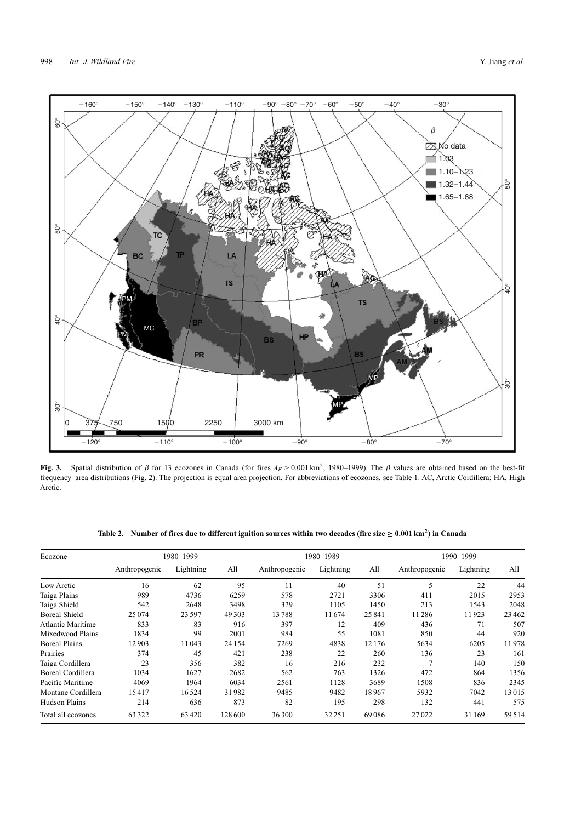

**Fig. 3.** Spatial distribution of *β* for 13 ecozones in Canada (for fires *AF* ≥ 0.001 km2, 1980–1999). The *β* values are obtained based on the best-fit frequency–area distributions (Fig. 2). The projection is equal area projection. For abbreviations of ecozones, see Table 1. AC, Arctic Cordillera; HA, High Arctic.

**Table 2.** Number of fires due to different ignition sources within two decades (fire size  $\geq 0.001 \text{ km}^2$ ) in Canada

| Ecozone              |               | 1980-1999 |          |               | 1980-1989 |        |                | 1990-1999 |         |
|----------------------|---------------|-----------|----------|---------------|-----------|--------|----------------|-----------|---------|
|                      | Anthropogenic | Lightning | All      | Anthropogenic | Lightning | All    | Anthropogenic  | Lightning | All     |
| Low Arctic           | 16            | 62        | 95       | 11            | 40        | 51     | 5              | 22        | 44      |
| Taiga Plains         | 989           | 4736      | 6259     | 578           | 2721      | 3306   | 411            | 2015      | 2953    |
| Taiga Shield         | 542           | 2648      | 3498     | 329           | 1105      | 1450   | 213            | 1543      | 2048    |
| <b>Boreal Shield</b> | 25074         | 23 5 97   | 49 3 0 3 | 13788         | 11674     | 25 841 | 11286          | 11923     | 23 4 62 |
| Atlantic Maritime    | 833           | 83        | 916      | 397           | 12        | 409    | 436            | 71        | 507     |
| Mixedwood Plains     | 1834          | 99        | 2001     | 984           | 55        | 1081   | 850            | 44        | 920     |
| <b>Boreal Plains</b> | 12903         | 11043     | 24 1 54  | 7269          | 4838      | 12 176 | 5634           | 6205      | 11978   |
| Prairies             | 374           | 45        | 421      | 238           | 22        | 260    | 136            | 23        | 161     |
| Taiga Cordillera     | 23            | 356       | 382      | 16            | 216       | 232    | $\overline{7}$ | 140       | 150     |
| Boreal Cordillera    | 1034          | 1627      | 2682     | 562           | 763       | 1326   | 472            | 864       | 1356    |
| Pacific Maritime     | 4069          | 1964      | 6034     | 2561          | 1128      | 3689   | 1508           | 836       | 2345    |
| Montane Cordillera   | 15417         | 16524     | 31982    | 9485          | 9482      | 18967  | 5932           | 7042      | 13 015  |
| Hudson Plains        | 214           | 636       | 873      | 82            | 195       | 298    | 132            | 441       | 575     |
| Total all ecozones   | 63322         | 63420     | 128 600  | 36300         | 32 25 1   | 69086  | 27022          | 31169     | 59514   |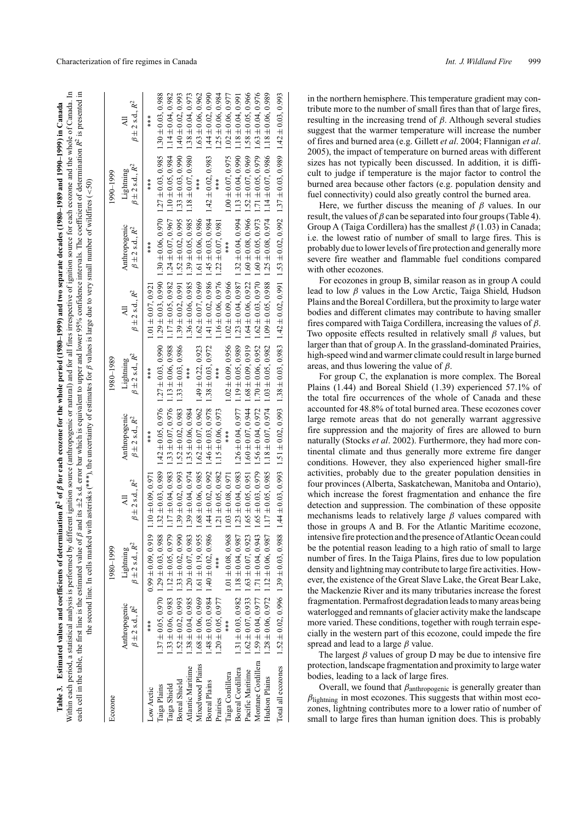| ination $R^2$ of $\beta$ for each ecozone for the whole period (1980–1999) and two separate decades (1980–1989 and 1990–1999) in Canada<br>ts of determi<br>fable 3. Estimated values and coefficient | ferent ignition source (anthropogenic or natural) and for all fires irrespective of ignition source for each ecozone and the whole of Canada. In<br>Vithin each period, a statistical analysis is performed by | 3 and its ±2 s.d. error bar which is equivalent to upper and lower 95% confidence intervals. The coefficient of determination R <sup>2</sup> is presented in<br>each cell in the table, the first line is the estimated value of | with asterisks (****), the uncertainty of estimates for $\beta$ values is large due to very small number of wildfires (<50)<br>the second line. In cells marked w |
|-------------------------------------------------------------------------------------------------------------------------------------------------------------------------------------------------------|----------------------------------------------------------------------------------------------------------------------------------------------------------------------------------------------------------------|----------------------------------------------------------------------------------------------------------------------------------------------------------------------------------------------------------------------------------|-------------------------------------------------------------------------------------------------------------------------------------------------------------------|
|-------------------------------------------------------------------------------------------------------------------------------------------------------------------------------------------------------|----------------------------------------------------------------------------------------------------------------------------------------------------------------------------------------------------------------|----------------------------------------------------------------------------------------------------------------------------------------------------------------------------------------------------------------------------------|-------------------------------------------------------------------------------------------------------------------------------------------------------------------|

| Ecozone              |                                                                    | 1980-1999                                       |                         |                                               | 1980-1989                                                            |                                             |                                                                                                                                                                                                                                                         | 1990-1999                            |                              |
|----------------------|--------------------------------------------------------------------|-------------------------------------------------|-------------------------|-----------------------------------------------|----------------------------------------------------------------------|---------------------------------------------|---------------------------------------------------------------------------------------------------------------------------------------------------------------------------------------------------------------------------------------------------------|--------------------------------------|------------------------------|
|                      | Anthropogenic<br>$\beta \pm 2$ s.d., $R^2$                         | $\beta\pm2$ s.d., $R^2$<br>Lightning            | $\beta\pm2$ s.d., $R^2$ | Anthropogenic<br>$\beta\pm2$ s.d., $R^2$      | $\beta \pm 2$ s.d., $R^2$<br>Lightning                               | $\beta \pm 2$ s.d., $R^2$<br>$\overline{A}$ | Anthropogenic<br>$\beta \pm 2$ s.d., $R^2$                                                                                                                                                                                                              | $\beta\pm2$ s.d., $R^2$<br>Lightning | $\beta\pm2$ s.d., $R^2$<br>딍 |
| Low Arctic           | ***                                                                | $0.99 \pm 0.09, 0.919$                          | $1.10 \pm 0.09$ , 0.971 | ***                                           | ***                                                                  | $1.01 \pm 0.07, 0.921$                      | ***                                                                                                                                                                                                                                                     | ***                                  | ***                          |
| Taiga Plains         |                                                                    | $1.37 \pm 0.05$ , 0.970 $1.29 \pm 0.03$ , 0.988 | $1.32 \pm 0.03, 0.989$  |                                               | $1.42 \pm 0.05, 0.976$ $1.27 \pm 0.03, 0.990$ $1.29 \pm 0.03, 0.990$ |                                             | $1.30 \pm 0.06$ , $0.970$ $1.27 \pm 0.03$ , $0.985$ $1.30 \pm 0.03$ , $0.988$                                                                                                                                                                           |                                      |                              |
| Taiga Shield         |                                                                    | $.33 \pm 0.06, 0.983$ $1.12 \pm 0.05, 0.979$    | $1.17 \pm 0.04$ , 0.983 | $1.33 \pm 0.07, 0.976$                        | $1.13 \pm 0.06, 0.988$ $1.17 \pm 0.05, 0.982$                        |                                             | $1.24 \pm 0.07, 0.967$ $1.10 \pm 0.05, 0.984$ $1.14 \pm 0.04, 0.982$                                                                                                                                                                                    |                                      |                              |
| <b>Boreal Shield</b> |                                                                    | $.52 \pm 0.02, 0.993$ $1.33 \pm 0.02, 0.990$    | $1.39 \pm 0.02, 0.993$  | $1.52 \pm 0.02, 0.983$                        | $1.33 \pm 0.03, 0.986$ $1.39 \pm 0.02, 0.991$                        |                                             | $1.52 \pm 0.02$ , 0.995 $1.33 \pm 0.03$ , 0.990                                                                                                                                                                                                         |                                      | $1.40 \pm 0.02, 0.993$       |
| Atlantic Maritime    |                                                                    | $1.38 \pm 0.04$ , 0.985 $1.20 \pm 0.07$ , 0.983 | $1.39 \pm 0.04$ , 0.974 | $1.35 \pm 0.06, 0.984$                        | ***                                                                  | $1.36 \pm 0.06, 0.985$                      | $1.39 \pm 0.05, 0.985$                                                                                                                                                                                                                                  | $1.18 \pm 0.07, 0.980$               | $1.38 \pm 0.04, 0.973$       |
| Mixedwood Plains     |                                                                    | $1.68 \pm 0.06$ , 0.969 $1.61 \pm 0.19$ , 0.955 | $1.68 \pm 0.06, 0.985$  | $1.62 \pm 0.07, 0.962$                        | $1.49 \pm 0.22, 0.923$                                               | $1.62 \pm 0.07, 0.969$                      | $1.61 \pm 0.06, 0.986$                                                                                                                                                                                                                                  | ***                                  | $1.63 \pm 0.06, 0.962$       |
| <b>Boreal Plains</b> |                                                                    | $.48 \pm 0.03, 0.984$ 1.40 $\pm$ 0.02, 0.986    | $1.44 \pm 0.02, 0.992$  | $1.46 \pm 0.03, 0.978$                        | $1.38 \pm 0.03, 0.972$                                               | $1.41 \pm 0.02.0386$                        | $1.45 \pm 0.03$ , 0.984 $1.42 \pm 0.02$ , 0.983                                                                                                                                                                                                         |                                      | $1.44 \pm 0.02, 0.990$       |
| Prairies             | $1.20 \pm 0.05, 0.977$                                             | $***$                                           | $1.21 \pm 0.05, 0.982$  | $1.15 \pm 0.06, 0.973$                        | ***                                                                  | $1.16 \pm 0.06$ , 0.976                     | $1.22 \pm 0.07, 0.98$                                                                                                                                                                                                                                   | ***                                  | $1.25 \pm 0.06, 0.984$       |
| Taiga Cordillera     | ***                                                                | $1.01 \pm 0.08, 0.968$                          | $1.03 \pm 0.08, 0.971$  | ***                                           | $1.02 \pm 0.09$ , 0.956                                              | $1.02 \pm 0.09, 0.966$                      | ***                                                                                                                                                                                                                                                     | $1.00 \pm 0.07, 0.975$               | $1.02 \pm 0.06, 0.977$       |
| Boreal Cordillera    |                                                                    | $1.31 \pm 0.03$ , 0.982 $1.18 \pm 0.04$ , 0.987 | $1.23 \pm 0.04, 0.983$  | $1.26 \pm 0.04, 0.977$                        | $1.19 \pm 0.05, 0.989$                                               | $1.23 \pm 0.04, 0.987$                      | $1.32 \pm 0.04$ , 0.994 $1.13 \pm 0.04$ , 0.990                                                                                                                                                                                                         |                                      | $1.18 \pm 0.04, 0.991$       |
| Pacific Maritime     |                                                                    | $1.62 \pm 0.07$ , 0.933 $1.63 \pm 0.07$ , 0.923 | $1.65 \pm 0.05, 0.951$  | $1.60 \pm 0.07, 0.944$                        | $1.68 \pm 0.09, 0.919$                                               | $1.64 \pm 0.06, 0.922$                      | $1.60 \pm 0.08$ , $0.966$ $1.52 \pm 0.07$ , $0.969$ $1.58 \pm 0.05$ , $0.966$                                                                                                                                                                           |                                      |                              |
|                      | Montane Cordillera $1.59 \pm 0.04$ , 0.977 $1.71 \pm 0.04$ , 0.943 |                                                 | $1.65 \pm 0.03, 0.979$  | $1.56 \pm 0.04, 0.972$                        | $1.70 \pm 0.06, 0.952$                                               | $1.62 \pm 0.03, 0.970$                      | $1.60 \pm 0.05$ , 0.973 $1.71 \pm 0.05$ , 0.979 $1.63 \pm 0.04$ , 0.976                                                                                                                                                                                 |                                      |                              |
| Hudson Plains        |                                                                    | $1.28 \pm 0.06, 0.972$ $1.12 \pm 0.06, 0.987$   | $1.17 \pm 0.05, 0.985$  | $1.18 \pm 0.07, 0.974$ $1.03 \pm 0.05, 0.982$ |                                                                      |                                             | $1.09 \pm 0.05, 0.988$ $1.25 \pm 0.08, 0.974$ $1.14 \pm 0.07, 0.986$ $1.18 \pm 0.06, 0.989$                                                                                                                                                             |                                      |                              |
| Total all ecozones   | $1.52 \pm 0.02, 0.996$ $1.39 \pm 0.03, 0.988$                      |                                                 |                         |                                               |                                                                      |                                             | $1.44 \pm 0.03$ , $0.993$ $1.51 \pm 0.02$ , $0.2, 0.93$ $0.38 \pm 0.03$ , $0.983$ $1.42 \pm 0.03$ , $0.991$ $1.53 \pm 0.02$ , $0.92$ $0.03$ , $0.93$ , $0.93$ $0.03$ , $0.03$ , $0.03$ , $0.03$ , $0.03$ , $0.02$ , $0.03$ , $0.03$ , $0.03$ , $0.03$ , |                                      |                              |

in the northern hemisphere. This temperature gradient may contribute more to the number of small fires than that of large fires, resulting in the increasing trend of *β*. Although several studies suggest that the warmer temperature will increase the number of fires and burned area (e.g. Gillett *et al*. 2004; Flannigan *et al*. 2005), the impact of temperature on burned areas with different sizes has not typically been discussed. In addition, it is difficult to judge if temperature is the major factor to control the burned area because other factors (e.g. population density and fuel connectivity) could also greatly control the burned area.

Here, we further discuss the meaning of *β* values. In our result, the values of  $\beta$  can be separated into four groups (Table 4). Group A (Taiga Cordillera) has the smallest *β* (1.03) in Canada; i.e. the lowest ratio of number of small to large fires. This is probably due to lower levels of fire protection and generally more severe fire weather and flammable fuel conditions compared with other ecozones.

For ecozones in group B, similar reason as in group A could lead to low *β* values in the Low Arctic, Taiga Shield, Hudson Plains and the Boreal Cordillera, but the proximity to large water bodies and different climates may contribute to having smaller fires compared with Taiga Cordillera, increasing the values of *β*. Two opposite effects resulted in relatively small *β* values, but larger than that of group A. In the grassland-dominated Prairies, high-speed wind and warmer climate could result in large burned areas, and thus lowering the value of *β*.

For group C, the explanation is more complex. The Boreal Plains (1.44) and Boreal Shield (1.39) experienced 57.1% of the total fire occurrences of the whole of Canada and these accounted for 48.8% of total burned area. These ecozones cover large remote areas that do not generally warrant aggressive fire suppression and the majority of fires are allowed to burn naturally (Stocks *et al*. 2002). Furthermore, they had more continental climate and thus generally more extreme fire danger conditions. However, they also experienced higher small-fire activities, probably due to the greater population densities in four provinces (Alberta, Saskatchewan, Manitoba and Ontario), which increase the forest fragmentation and enhance the fire detection and suppression. The combination of these opposite mechanisms leads to relatively large *β* values compared with those in groups A and B. For the Atlantic Maritime ecozone, intensive fire protection and the presence of Atlantic Ocean could be the potential reason leading to a high ratio of small to large number of fires. In the Taiga Plains, fires due to low population density and lightning may contribute to large fire activities. However, the existence of the Great Slave Lake, the Great Bear Lake, the Mackenzie River and its many tributaries increase the forest fragmentation. Permafrost degradation leads to many areas being waterlogged and remnants of glacier activity make the landscape more varied. These conditions, together with rough terrain especially in the western part of this ecozone, could impede the fire spread and lead to a large *β* value.

The largest  $\beta$  values of group D may be due to intensive fire protection, landscape fragmentation and proximity to large water bodies, leading to a lack of large fires.

Overall, we found that *β*anthropogenic is generally greater than *β*lightning in most ecozones. This suggests that within most ecozones, lightning contributes more to a lower ratio of number of small to large fires than human ignition does. This is probably

 $\frac{1}{a}$  and  $\frac{1}{b}$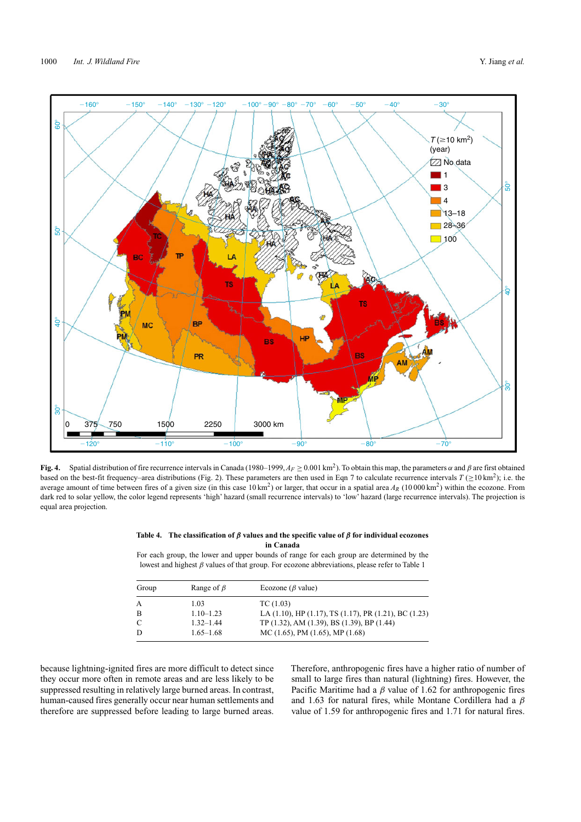

**Fig. 4.** Spatial distribution of fire recurrence intervals in Canada (1980–1999,*AF* ≥ 0.001 km2). To obtain this map, the parameters *α* and *β* are first obtained based on the best-fit frequency–area distributions (Fig. 2). These parameters are then used in Eqn 7 to calculate recurrence intervals  $T \geq 10 \text{ km}^2$ ); i.e. the average amount of time between fires of a given size (in this case  $10 \text{ km}^2$ ) or larger, that occur in a spatial area  $A_R$  (10 000 km<sup>2</sup>) within the ecozone. From dark red to solar yellow, the color legend represents 'high' hazard (small recurrence intervals) to 'low' hazard (large recurrence intervals). The projection is equal area projection.

## **Table 4. The classification of** *β* **values and the specific value of** *β* **for individual ecozones in Canada**

For each group, the lower and upper bounds of range for each group are determined by the lowest and highest *β* values of that group. For ecozone abbreviations, please refer to Table 1

| Group          | Range of $\beta$ | Ecozone ( $\beta$ value)                                            |
|----------------|------------------|---------------------------------------------------------------------|
|                | 1.03             | TC(1.03)                                                            |
| B              | $1.10 - 1.23$    | LA $(1.10)$ , HP $(1.17)$ , TS $(1.17)$ , PR $(1.21)$ , BC $(1.23)$ |
| <sup>-</sup> C | $1.32 - 1.44$    | TP (1.32), AM (1.39), BS (1.39), BP (1.44)                          |
|                | $1.65 - 1.68$    | MC $(1.65)$ , PM $(1.65)$ , MP $(1.68)$                             |

because lightning-ignited fires are more difficult to detect since they occur more often in remote areas and are less likely to be suppressed resulting in relatively large burned areas. In contrast, human-caused fires generally occur near human settlements and therefore are suppressed before leading to large burned areas. Therefore, anthropogenic fires have a higher ratio of number of small to large fires than natural (lightning) fires. However, the Pacific Maritime had a *β* value of 1.62 for anthropogenic fires and 1.63 for natural fires, while Montane Cordillera had a *β* value of 1.59 for anthropogenic fires and 1.71 for natural fires.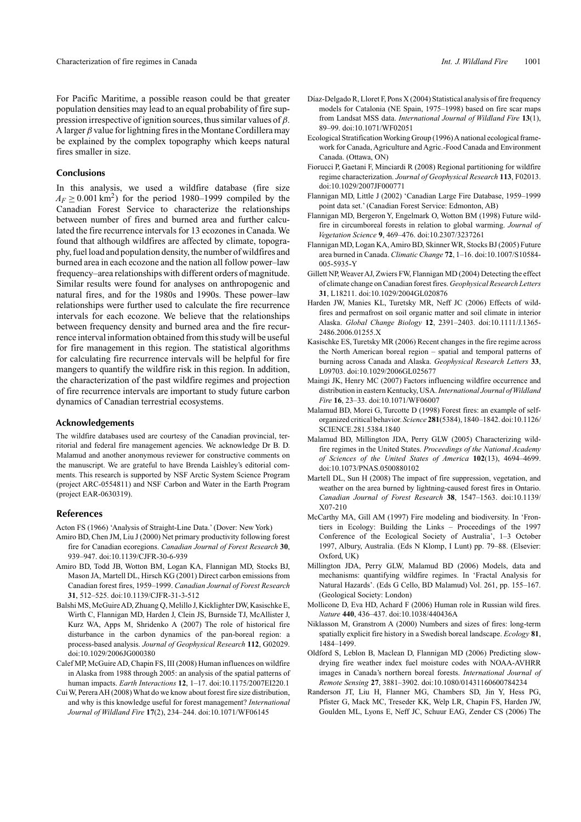For Pacific Maritime, a possible reason could be that greater population densities may lead to an equal probability of fire suppression irrespective of ignition sources, thus similar values of *β*. A larger *β* value for lightning fires in the Montane Cordillera may be explained by the complex topography which keeps natural fires smaller in size.

### **Conclusions**

In this analysis, we used a wildfire database (fire size  $A_F > 0.001 \text{ km}^2$ ) for the period 1980–1999 compiled by the Canadian Forest Service to characterize the relationships between number of fires and burned area and further calculated the fire recurrence intervals for 13 ecozones in Canada. We found that although wildfires are affected by climate, topography, fuel load and population density, the number of wildfires and burned area in each ecozone and the nation all follow power–law frequency–area relationships with different orders of magnitude. Similar results were found for analyses on anthropogenic and natural fires, and for the 1980s and 1990s. These power–law relationships were further used to calculate the fire recurrence intervals for each ecozone. We believe that the relationships between frequency density and burned area and the fire recurrence interval information obtained from this study will be useful for fire management in this region. The statistical algorithms for calculating fire recurrence intervals will be helpful for fire mangers to quantify the wildfire risk in this region. In addition, the characterization of the past wildfire regimes and projection of fire recurrence intervals are important to study future carbon dynamics of Canadian terrestrial ecosystems.

#### **Acknowledgements**

The wildfire databases used are courtesy of the Canadian provincial, territorial and federal fire management agencies. We acknowledge Dr B. D. Malamud and another anonymous reviewer for constructive comments on the manuscript. We are grateful to have Brenda Laishley's editorial comments. This research is supported by NSF Arctic System Science Program (project ARC-0554811) and NSF Carbon and Water in the Earth Program (project EAR-0630319).

## **References**

Acton FS (1966) 'Analysis of Straight-Line Data.' (Dover: New York)

- Amiro BD, Chen JM, Liu J (2000) Net primary productivity following forest fire for Canadian ecoregions. *Canadian Journal of Forest Research* **30**, 939–947. doi:10.1139/CJFR-30-6-939
- Amiro BD, Todd JB, Wotton BM, Logan KA, Flannigan MD, Stocks BJ, Mason JA, Martell DL, Hirsch KG (2001) Direct carbon emissions from Canadian forest fires, 1959–1999. *Canadian Journal of Forest Research* **31**, 512–525. doi:10.1139/CJFR-31-3-512
- Balshi MS, McGuireAD, Zhuang Q, Melillo J, Kicklighter DW, Kasischke E, Wirth C, Flannigan MD, Harden J, Clein JS, Burnside TJ, McAllister J, Kurz WA, Apps M, Shridenko A (2007) The role of historical fire disturbance in the carbon dynamics of the pan-boreal region: a process-based analysis. *Journal of Geophysical Research* **112**, G02029. doi:10.1029/2006JG000380
- Calef MP, McGuireAD, Chapin FS, III (2008) Human influences on wildfire in Alaska from 1988 through 2005: an analysis of the spatial patterns of human impacts. *Earth Interactions* **12**, 1–17. doi:10.1175/2007EI220.1
- Cui W, PereraAH (2008) What do we know about forest fire size distribution, and why is this knowledge useful for forest management? *International Journal of Wildland Fire* **17**(2), 234–244. doi:10.1071/WF06145
- Díaz-Delgado R, Lloret F, Pons X (2004) Statistical analysis of fire frequency models for Catalonia (NE Spain, 1975–1998) based on fire scar maps from Landsat MSS data. *International Journal of Wildland Fire* **13**(1), 89–99. doi:10.1071/WF02051
- Ecological Stratification Working Group (1996)A national ecological framework for Canada, Agriculture and Agric.-Food Canada and Environment Canada. (Ottawa, ON)
- Fiorucci P, Gaetani F, Minciardi R (2008) Regional partitioning for wildfire regime characterization. *Journal of Geophysical Research* **113**, F02013. doi:10.1029/2007JF000771
- Flannigan MD, Little J (2002) 'Canadian Large Fire Database, 1959–1999 point data set.' (Canadian Forest Service: Edmonton, AB)
- Flannigan MD, Bergeron Y, Engelmark O, Wotton BM (1998) Future wildfire in circumboreal forests in relation to global warming. *Journal of Vegetation Science* **9**, 469–476. doi:10.2307/3237261
- Flannigan MD, Logan KA,Amiro BD, Skinner WR, Stocks BJ (2005) Future area burned in Canada. *Climatic Change* **72**, 1–16. doi:10.1007/S10584- 005-5935-Y
- Gillett NP, WeaverAJ, Zwiers FW, Flannigan MD (2004) Detecting the effect of climate change on Canadian forest fires. *Geophysical Research Letters* **31**, L18211. doi:10.1029/2004GL020876
- Harden JW, Manies KL, Turetsky MR, Neff JC (2006) Effects of wildfires and permafrost on soil organic matter and soil climate in interior Alaska. *Global Change Biology* **12**, 2391–2403. doi:10.1111/J.1365- 2486.2006.01255.X
- Kasischke ES, Turetsky MR (2006) Recent changes in the fire regime across the North American boreal region – spatial and temporal patterns of burning across Canada and Alaska. *Geophysical Research Letters* **33**, L09703. doi:10.1029/2006GL025677
- Maingi JK, Henry MC (2007) Factors influencing wildfire occurrence and distribution in eastern Kentucky, USA.*International Journal ofWildland Fire* **16**, 23–33. doi:10.1071/WF06007
- Malamud BD, Morei G, Turcotte D (1998) Forest fires: an example of selforganized critical behavior. *Science* **281**(5384), 1840–1842. doi:10.1126/ SCIENCE.281.5384.1840
- Malamud BD, Millington JDA, Perry GLW (2005) Characterizing wildfire regimes in the United States. *Proceedings of the National Academy of Sciences of the United States of America* **102**(13), 4694–4699. doi:10.1073/PNAS.0500880102
- Martell DL, Sun H (2008) The impact of fire suppression, vegetation, and weather on the area burned by lightning-caused forest fires in Ontario. *Canadian Journal of Forest Research* **38**, 1547–1563. doi:10.1139/ X07-210
- McCarthy MA, Gill AM (1997) Fire modeling and biodiversity. In 'Frontiers in Ecology: Building the Links – Proceedings of the 1997 Conference of the Ecological Society of Australia', 1–3 October 1997, Albury, Australia. (Eds N Klomp, I Lunt) pp. 79–88. (Elsevier: Oxford, UK)
- Millington JDA, Perry GLW, Malamud BD (2006) Models, data and mechanisms: quantifying wildfire regimes. In 'Fractal Analysis for Natural Hazards'. (Eds G Cello, BD Malamud) Vol. 261, pp. 155–167. (Geological Society: London)
- Mollicone D, Eva HD, Achard F (2006) Human role in Russian wild fires. *Nature* **440**, 436–437. doi:10.1038/440436A
- Niklasson M, Granstrom A (2000) Numbers and sizes of fires: long-term spatially explicit fire history in a Swedish boreal landscape. *Ecology* **81**, 1484–1499.
- Oldford S, Leblon B, Maclean D, Flannigan MD (2006) Predicting slowdrying fire weather index fuel moisture codes with NOAA-AVHRR images in Canada's northern boreal forests. *International Journal of Remote Sensing* **27**, 3881–3902. doi:10.1080/01431160600784234
- Randerson JT, Liu H, Flanner MG, Chambers SD, Jin Y, Hess PG, Pfister G, Mack MC, Treseder KK, Welp LR, Chapin FS, Harden JW, Goulden ML, Lyons E, Neff JC, Schuur EAG, Zender CS (2006) The